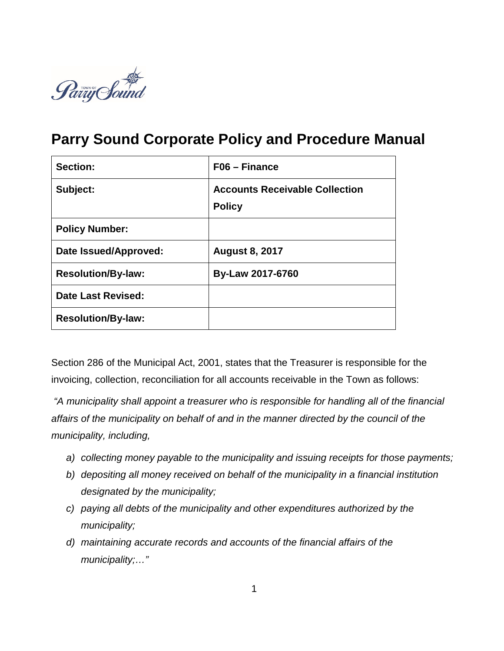

# **Parry Sound Corporate Policy and Procedure Manual**

| Section:                  | $F06 - Finance$                                        |
|---------------------------|--------------------------------------------------------|
| Subject:                  | <b>Accounts Receivable Collection</b><br><b>Policy</b> |
| <b>Policy Number:</b>     |                                                        |
| Date Issued/Approved:     | <b>August 8, 2017</b>                                  |
| <b>Resolution/By-law:</b> | <b>By-Law 2017-6760</b>                                |
| Date Last Revised:        |                                                        |
| <b>Resolution/By-law:</b> |                                                        |

Section 286 of the Municipal Act, 2001, states that the Treasurer is responsible for the invoicing, collection, reconciliation for all accounts receivable in the Town as follows:

*"A municipality shall appoint a treasurer who is responsible for handling all of the financial affairs of the municipality on behalf of and in the manner directed by the council of the municipality, including,*

- *a) collecting money payable to the municipality and issuing receipts for those payments;*
- *b) depositing all money received on behalf of the municipality in a financial institution designated by the municipality;*
- *c) paying all debts of the municipality and other expenditures authorized by the municipality;*
- *d) maintaining accurate records and accounts of the financial affairs of the municipality;…"*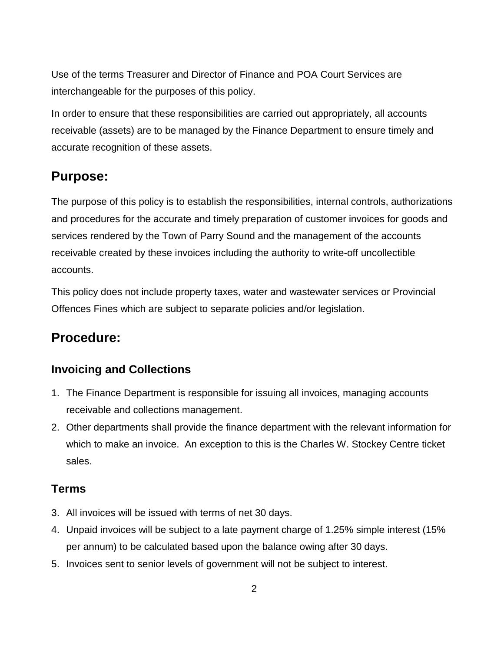Use of the terms Treasurer and Director of Finance and POA Court Services are interchangeable for the purposes of this policy.

In order to ensure that these responsibilities are carried out appropriately, all accounts receivable (assets) are to be managed by the Finance Department to ensure timely and accurate recognition of these assets.

# **Purpose:**

The purpose of this policy is to establish the responsibilities, internal controls, authorizations and procedures for the accurate and timely preparation of customer invoices for goods and services rendered by the Town of Parry Sound and the management of the accounts receivable created by these invoices including the authority to write-off uncollectible accounts.

This policy does not include property taxes, water and wastewater services or Provincial Offences Fines which are subject to separate policies and/or legislation.

# **Procedure:**

### **Invoicing and Collections**

- 1. The Finance Department is responsible for issuing all invoices, managing accounts receivable and collections management.
- 2. Other departments shall provide the finance department with the relevant information for which to make an invoice. An exception to this is the Charles W. Stockey Centre ticket sales.

#### **Terms**

- 3. All invoices will be issued with terms of net 30 days.
- 4. Unpaid invoices will be subject to a late payment charge of 1.25% simple interest (15% per annum) to be calculated based upon the balance owing after 30 days.
- 5. Invoices sent to senior levels of government will not be subject to interest.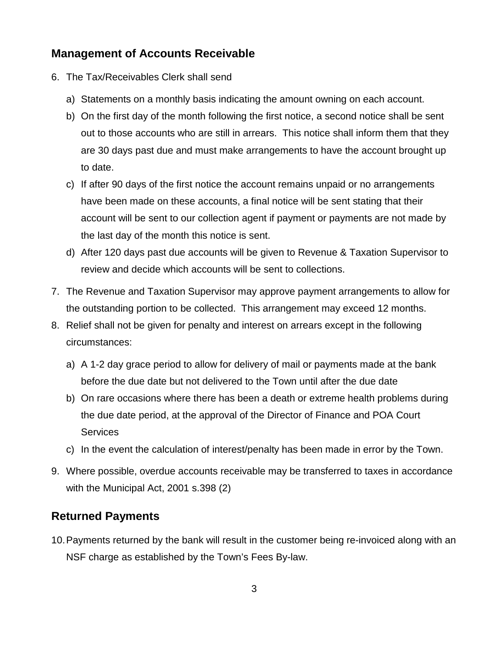#### **Management of Accounts Receivable**

- 6. The Tax/Receivables Clerk shall send
	- a) Statements on a monthly basis indicating the amount owning on each account.
	- b) On the first day of the month following the first notice, a second notice shall be sent out to those accounts who are still in arrears. This notice shall inform them that they are 30 days past due and must make arrangements to have the account brought up to date.
	- c) If after 90 days of the first notice the account remains unpaid or no arrangements have been made on these accounts, a final notice will be sent stating that their account will be sent to our collection agent if payment or payments are not made by the last day of the month this notice is sent.
	- d) After 120 days past due accounts will be given to Revenue & Taxation Supervisor to review and decide which accounts will be sent to collections.
- 7. The Revenue and Taxation Supervisor may approve payment arrangements to allow for the outstanding portion to be collected. This arrangement may exceed 12 months.
- 8. Relief shall not be given for penalty and interest on arrears except in the following circumstances:
	- a) A 1-2 day grace period to allow for delivery of mail or payments made at the bank before the due date but not delivered to the Town until after the due date
	- b) On rare occasions where there has been a death or extreme health problems during the due date period, at the approval of the Director of Finance and POA Court **Services**
	- c) In the event the calculation of interest/penalty has been made in error by the Town.
- 9. Where possible, overdue accounts receivable may be transferred to taxes in accordance with the Municipal Act, 2001 s.398 (2)

#### **Returned Payments**

10.Payments returned by the bank will result in the customer being re-invoiced along with an NSF charge as established by the Town's Fees By-law.